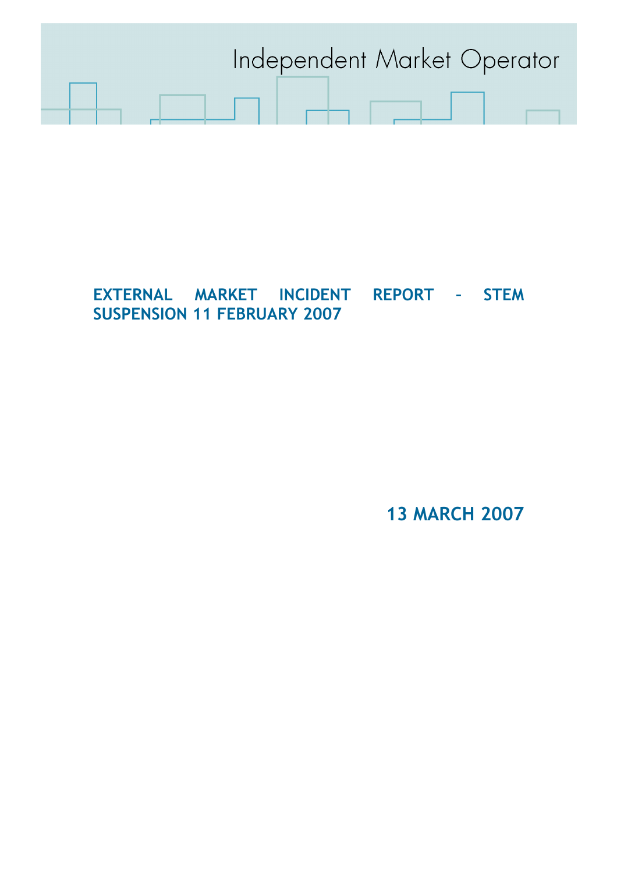

# EXTERNAL MARKET INCIDENT REPORT – STEM SUSPENSION 11 FEBRUARY 2007

13 MARCH 2007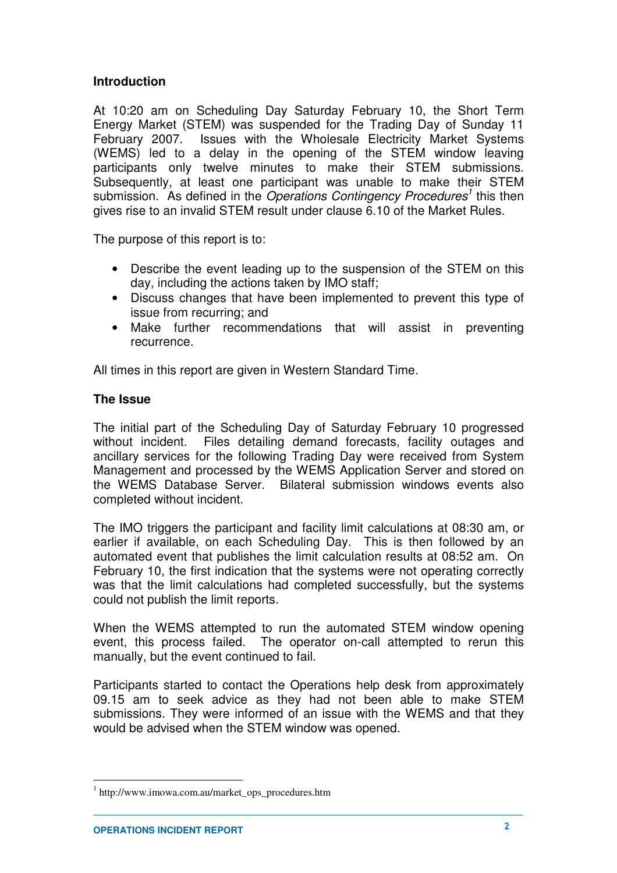## **Introduction**

At 10:20 am on Scheduling Day Saturday February 10, the Short Term Energy Market (STEM) was suspended for the Trading Day of Sunday 11 February 2007. Issues with the Wholesale Electricity Market Systems (WEMS) led to a delay in the opening of the STEM window leaving participants only twelve minutes to make their STEM submissions. Subsequently, at least one participant was unable to make their STEM submission. As defined in the *Operations Contingency Procedures<sup>1</sup>* this then gives rise to an invalid STEM result under clause 6.10 of the Market Rules.

The purpose of this report is to:

- Describe the event leading up to the suspension of the STEM on this day, including the actions taken by IMO staff;
- Discuss changes that have been implemented to prevent this type of issue from recurring; and
- Make further recommendations that will assist in preventing recurrence.

All times in this report are given in Western Standard Time.

### **The Issue**

The initial part of the Scheduling Day of Saturday February 10 progressed without incident. Files detailing demand forecasts, facility outages and ancillary services for the following Trading Day were received from System Management and processed by the WEMS Application Server and stored on the WEMS Database Server. Bilateral submission windows events also completed without incident.

The IMO triggers the participant and facility limit calculations at 08:30 am, or earlier if available, on each Scheduling Day. This is then followed by an automated event that publishes the limit calculation results at 08:52 am. On February 10, the first indication that the systems were not operating correctly was that the limit calculations had completed successfully, but the systems could not publish the limit reports.

When the WEMS attempted to run the automated STEM window opening event, this process failed. The operator on-call attempted to rerun this manually, but the event continued to fail.

Participants started to contact the Operations help desk from approximately 09.15 am to seek advice as they had not been able to make STEM submissions. They were informed of an issue with the WEMS and that they would be advised when the STEM window was opened.

 $\overline{a}$ 

<sup>1</sup> http://www.imowa.com.au/market\_ops\_procedures.htm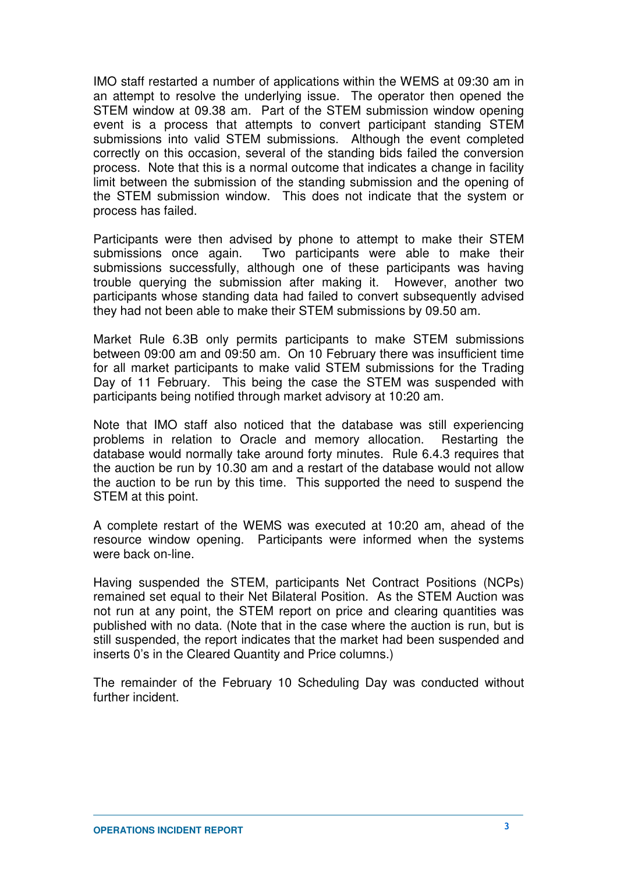IMO staff restarted a number of applications within the WEMS at 09:30 am in an attempt to resolve the underlying issue. The operator then opened the STEM window at 09.38 am. Part of the STEM submission window opening event is a process that attempts to convert participant standing STEM submissions into valid STEM submissions. Although the event completed correctly on this occasion, several of the standing bids failed the conversion process. Note that this is a normal outcome that indicates a change in facility limit between the submission of the standing submission and the opening of the STEM submission window. This does not indicate that the system or process has failed.

Participants were then advised by phone to attempt to make their STEM submissions once again. Two participants were able to make their submissions successfully, although one of these participants was having trouble querying the submission after making it. However, another two participants whose standing data had failed to convert subsequently advised they had not been able to make their STEM submissions by 09.50 am.

Market Rule 6.3B only permits participants to make STEM submissions between 09:00 am and 09:50 am. On 10 February there was insufficient time for all market participants to make valid STEM submissions for the Trading Day of 11 February. This being the case the STEM was suspended with participants being notified through market advisory at 10:20 am.

Note that IMO staff also noticed that the database was still experiencing problems in relation to Oracle and memory allocation. Restarting the database would normally take around forty minutes. Rule 6.4.3 requires that the auction be run by 10.30 am and a restart of the database would not allow the auction to be run by this time. This supported the need to suspend the STEM at this point.

A complete restart of the WEMS was executed at 10:20 am, ahead of the resource window opening. Participants were informed when the systems were back on-line.

Having suspended the STEM, participants Net Contract Positions (NCPs) remained set equal to their Net Bilateral Position. As the STEM Auction was not run at any point, the STEM report on price and clearing quantities was published with no data. (Note that in the case where the auction is run, but is still suspended, the report indicates that the market had been suspended and inserts 0's in the Cleared Quantity and Price columns.)

The remainder of the February 10 Scheduling Day was conducted without further incident.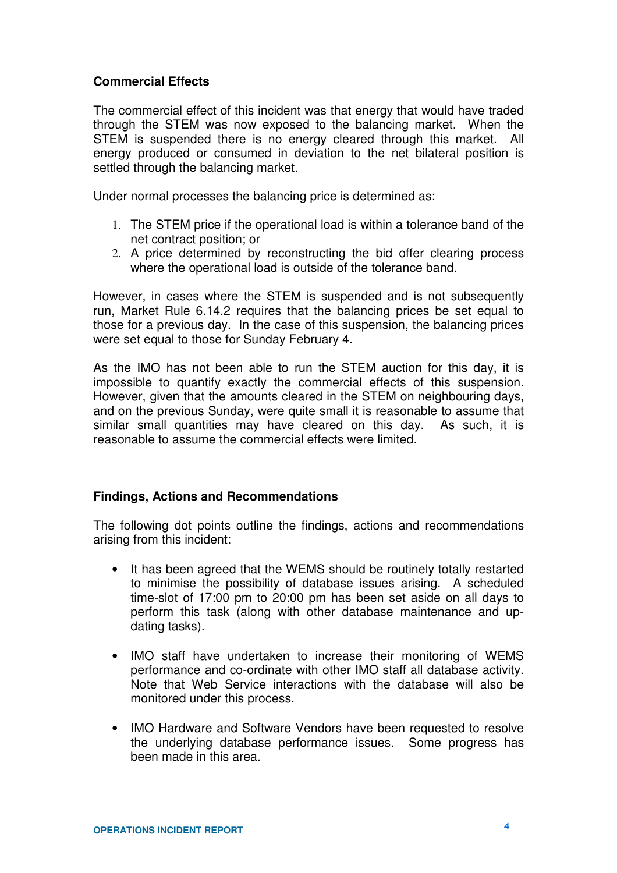## **Commercial Effects**

The commercial effect of this incident was that energy that would have traded through the STEM was now exposed to the balancing market. When the STEM is suspended there is no energy cleared through this market. All energy produced or consumed in deviation to the net bilateral position is settled through the balancing market.

Under normal processes the balancing price is determined as:

- 1. The STEM price if the operational load is within a tolerance band of the net contract position; or
- 2. A price determined by reconstructing the bid offer clearing process where the operational load is outside of the tolerance band.

However, in cases where the STEM is suspended and is not subsequently run, Market Rule 6.14.2 requires that the balancing prices be set equal to those for a previous day. In the case of this suspension, the balancing prices were set equal to those for Sunday February 4.

As the IMO has not been able to run the STEM auction for this day, it is impossible to quantify exactly the commercial effects of this suspension. However, given that the amounts cleared in the STEM on neighbouring days, and on the previous Sunday, were quite small it is reasonable to assume that similar small quantities may have cleared on this day. As such, it is reasonable to assume the commercial effects were limited.

#### **Findings, Actions and Recommendations**

The following dot points outline the findings, actions and recommendations arising from this incident:

- It has been agreed that the WEMS should be routinely totally restarted to minimise the possibility of database issues arising. A scheduled time-slot of 17:00 pm to 20:00 pm has been set aside on all days to perform this task (along with other database maintenance and updating tasks).
- IMO staff have undertaken to increase their monitoring of WEMS performance and co-ordinate with other IMO staff all database activity. Note that Web Service interactions with the database will also be monitored under this process.
- IMO Hardware and Software Vendors have been requested to resolve the underlying database performance issues. Some progress has been made in this area.